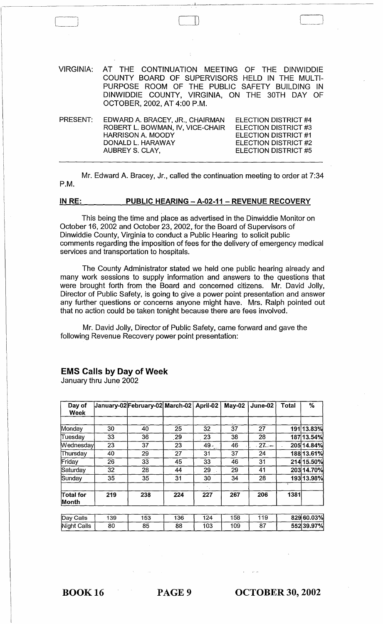VIRGINIA: AT THE CONTINUATION MEETING OF THE DINWIDDIE COUNTY BOARD OF SUPERVISORS HELD IN THE MULTI-PURPOSE ROOM OF THE PUBLIC SAFETY BUILDING IN DINWIDDIE COUNTY, VIRGINIA, ON THE 30TH DAY OF OCTOBER, 2002, AT 4:00 P.M.

 $\Box$ 

| PRESENT: | EDWARD A. BRACEY, JR., CHAIRMAN  | ELECTION DISTRICT #4 |
|----------|----------------------------------|----------------------|
|          | ROBERT L. BOWMAN, IV, VICE-CHAIR | ELECTION DISTRICT #3 |
|          | HARRISON A. MOODY                | ELECTION DISTRICT #1 |
|          | DONALD L. HARAWAY                | ELECTION DISTRICT #2 |
|          | AUBREY S. CLAY,                  | ELECTION DISTRICT #5 |
|          |                                  |                      |

Mr. Edward A. Bracey, Jr., called the continuation meeting to order at 7:34 P.M.

#### IN RE: PUBLIC HEARING - A-02-11 - REVENUE RECOVERY

This being the time and place as advertised in the Dinwiddie Monitor on October 16, 2002 and October 23, 2002, for the Board of Supervisors of Dinwiddie County, Virginia to conduct a Public Hearing to solicit public comments regarding the imposition of fees for the delivery of emergency medical services and transportation to hospitals.

The County Administrator stated we held one public hearing already and many work sessions to supply information and answers to the questions that were brought forth from the Board and concerned citizens. Mr. David Jolly, Director of Public Safety, is going to give a power point presentation and answer any further questions or concerns anyone might have. Mrs. Ralph pointed out that no action could be taken tonight because there are fees involved.

Mr. David Jolly, Director of Public Safety, came forward and gave the following Revenue Recovery power point presentation:

#### Day of |January-02|February-02| March-02 | April-02 | May-02 | June-02 | Total | % Week Monday 30 40 25 32 37 27 191 13.83% Tuesday 33 36 29 23 38 28 187 13.54%  $\text{Weand  $\text{We37}$   $\overline{\smash)37}$   $\overline{\smash)23}$$ 49. 46 27. 27. 205 14.84% Thursday  $40$   $29$   $27$ 31 37 24 188 13.61% Friday 26 33 45 33 46 31 214 15.50% Saturday 32 28 44 29 29 41 203 14.70% 30 34 28 193 13.98% Sunday 35 35 31 Total for 219 238 224 227 267 206 1381 Month Day Calls  $139$ 153  $136$  $\overline{124}$  $158$  $\frac{1}{119}$ 829 60.03%  $\overline{87}$ 552 39.97% Night Calls 80 85 88 103 109

### EMS Calls by Day of Week

January thru June 2002

BOOK 16 PAGE 9

OCTOBER 30, 2002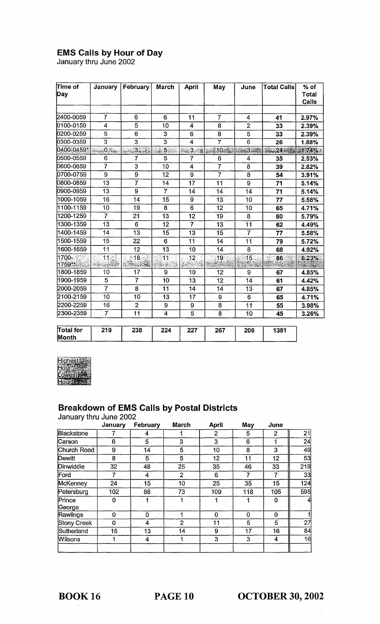# **EMS Calls by Hour of Day**<br>January thru June 2002

| Time of<br>Day            | January                                   | February                 | <b>March</b>   | <b>April</b>               | May               | June                                                                                                                                                                                                                                                                                                                                                               | Total Callsl    | $%$ of<br>Total<br>Calls   |
|---------------------------|-------------------------------------------|--------------------------|----------------|----------------------------|-------------------|--------------------------------------------------------------------------------------------------------------------------------------------------------------------------------------------------------------------------------------------------------------------------------------------------------------------------------------------------------------------|-----------------|----------------------------|
|                           |                                           |                          |                |                            |                   |                                                                                                                                                                                                                                                                                                                                                                    |                 |                            |
| 2400-0059                 | $\overline{7}$                            | 6                        | 6              | 11                         | $\overline{\tau}$ | 4                                                                                                                                                                                                                                                                                                                                                                  | 41              | 2.97%                      |
| 0100-0159                 | $\overline{4}$                            | 5                        | 10             | 4                          | 8                 | $\overline{2}$                                                                                                                                                                                                                                                                                                                                                     | 33              | 2.39%                      |
| 10200-0259                | 5                                         | 6                        | 3              | 6                          | 8                 | 5                                                                                                                                                                                                                                                                                                                                                                  | 33              | 2.39%                      |
| 0300-0359                 | 3                                         | $\overline{3}$           | $\overline{3}$ | $\overline{\mathbf{4}}$    | $\overline{7}$    | 6                                                                                                                                                                                                                                                                                                                                                                  | 26              | 1.88%                      |
| 0400-0459*                | $1.4 \cdot 10^{10}$                       | $-3.3$                   | $-5.5$         | $3 - 1$<br>a.<br>Kabupatèn | $3.221$ $10.27$   | -- 3-5                                                                                                                                                                                                                                                                                                                                                             |                 | $: 1.74\%$                 |
| 0500-0559                 | 6                                         | 7                        | 5              | 7                          | 6                 | 4                                                                                                                                                                                                                                                                                                                                                                  | 35              | 2.53%                      |
| 0600-0659                 | $\overline{7}$                            | 3                        | 10             | $\overline{4}$             | $\overline{7}$    | 8                                                                                                                                                                                                                                                                                                                                                                  | 39              | 2.82%                      |
| 0700-0759                 | $\overline{9}$                            | 9                        | 12             | $\overline{9}$             | $\overline{7}$    | 8                                                                                                                                                                                                                                                                                                                                                                  | 54              | 3.91%                      |
| 10800-0859                | 13                                        | $\overline{7}$           | 14             | 17                         | 11                | 9                                                                                                                                                                                                                                                                                                                                                                  | 71              | 5.14%                      |
| 0900-0959                 | 13                                        | 9                        | $\overline{7}$ | 14                         | 14                | 14                                                                                                                                                                                                                                                                                                                                                                 | 71              | 5.14%                      |
| 1000-1059                 | 16                                        | 14                       | 15             | 9                          | 13                | 10                                                                                                                                                                                                                                                                                                                                                                 | 77              | 5.58%                      |
| 1100-1159                 | 10                                        | 19                       | 8              | 6                          | 12                | 10                                                                                                                                                                                                                                                                                                                                                                 | 65              | 4.71%                      |
| 1200-1259                 | $\overline{7}$                            | 21                       | 13             | 12                         | 19                | 8                                                                                                                                                                                                                                                                                                                                                                  | 80              | 5.79%                      |
| 1300-1359                 | 13                                        | 6                        | 12             | $\overline{7}$             | 13                | 11                                                                                                                                                                                                                                                                                                                                                                 | 62              | 4.49%                      |
| 1400-1459                 | 14                                        | $\overline{13}$          | 15             | 13                         | 15                | $\overline{7}$                                                                                                                                                                                                                                                                                                                                                     | 77              | 5.58%                      |
| 1500-1559                 | 15                                        | 22                       | 6              | 11                         | 14                | 11                                                                                                                                                                                                                                                                                                                                                                 | 79              | 5.72%                      |
| 1600-1659                 | 11                                        | 12                       | 13             | 10                         | 14                | 8                                                                                                                                                                                                                                                                                                                                                                  | 68              | 4.92%                      |
| 1700-                     | $\overline{11}$<br>a.<br><b>本程 - 中心事件</b> | ੁ'18ੋ<br><b>AREA AND</b> | 11<br>terak di | া2                         | 19                | 15<br>$\frac{1}{\sqrt{2}}\sum_{i=1}^{N} \frac{1}{i!} \sum_{j=1}^{N} \frac{1}{i!} \sum_{j=1}^{N} \frac{1}{i!} \sum_{j=1}^{N} \frac{1}{i!} \sum_{j=1}^{N} \frac{1}{i!} \sum_{j=1}^{N} \frac{1}{i!} \sum_{j=1}^{N} \frac{1}{i!} \sum_{j=1}^{N} \frac{1}{i!} \sum_{j=1}^{N} \frac{1}{i!} \sum_{j=1}^{N} \frac{1}{i!} \sum_{j=1}^{N} \frac{1}{i!} \sum_{j=1}^{N} \frac$ | $\psi(t)$<br>86 | 6.23%<br>$-100 - 15 + 100$ |
| 1800-1859                 | 10                                        | 17                       | 9              | 10                         | 12                | 9                                                                                                                                                                                                                                                                                                                                                                  | 67              | 4.85%                      |
| 1900-1959                 | 5                                         | $\overline{I}$           | 10             | 13                         | 12                | 14                                                                                                                                                                                                                                                                                                                                                                 | 61              | 4.42%                      |
| 2000-2059                 | $\overline{7}$                            | 8                        | 11             | 14                         | 14                | 13                                                                                                                                                                                                                                                                                                                                                                 | 67              | 4.85%                      |
| 2100-2159                 | 10                                        | 10                       | 13             | 17                         | 9                 | 6                                                                                                                                                                                                                                                                                                                                                                  | 65              | 4.71%                      |
| 2200-2259                 | 16                                        | $\overline{2}$           | 9              | 9                          | 8                 | 11                                                                                                                                                                                                                                                                                                                                                                 | 55              | 3.98%                      |
| 2300-2359                 | $\overline{7}$                            | 11                       | 4              | $\overline{5}$             | 8                 | 10                                                                                                                                                                                                                                                                                                                                                                 | 45              | 3.26%                      |
| <b>∏otal for</b><br>Month | 219                                       | 238                      | 224            | 227                        | 267               | 206                                                                                                                                                                                                                                                                                                                                                                | 1381            |                            |



# Breakdown of EMS Calls by Postal Districts<br>January thru June 2002

|                  | January | February | <b>March</b>   | <b>April</b> | May | June           |     |
|------------------|---------|----------|----------------|--------------|-----|----------------|-----|
| Blackstone       |         | 4        |                | 2            | 5   | $\overline{2}$ | 21  |
| Carson           | 6       | 5        | 3              | 3            | 6   | 1              | 24  |
| Church Road      | 9       | 14       | 5              | 10           | 8   | 3              | 49  |
| Dewitt           | 8       | 5        | 5              | 12           | 11  | 12             | 53  |
| Dinwiddie        | 32      | 48       | 25             | 35           | 46  | 33             | 219 |
| Ford             | 7       | 4        | $\overline{2}$ | 6            | 7   | 7              | 33  |
| McKenney         | 24      | 15       | 10             | 25           | 35  | 15             | 124 |
| Petersburg       | 102     | 88       | 73             | 109          | 118 | 105            | 595 |
| Prince<br>George | 0       |          | 1              | 1            |     | 0              | 4   |
| Rawlings         | 0       | $\bf{0}$ | 1              | $\mathbf 0$  | 0   | $\bf{0}$       | 1   |
| Stony Creek      | 0       | 4        | $\overline{2}$ | 11           | 5   | 5              | 27  |
| Sutherland       | 15      | 13       | 14             | 9            | 17  | 16             | 84  |
| <b>Wilsons</b>   | 1       | 4        |                | 3            | 3   | 4              | 16  |

**OCTOBER 30, 2002** 

 $\hat{\mathcal{A}}$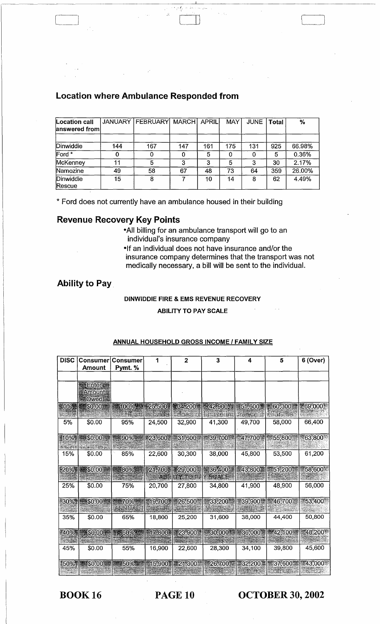| Location call<br>answered from | JANUARY | <b>FEBRUARY MARCH</b> |     | <b>APRIL</b> | <b>MAY</b> | <b>JUNE</b> | <b>Total</b> | $\frac{1}{2}$ |
|--------------------------------|---------|-----------------------|-----|--------------|------------|-------------|--------------|---------------|
| Dinwiddie                      | 144     | 167                   | 147 | 161          | 175        | 131         | 925          | 66.98%        |
| Ford <sup>*</sup>              |         |                       | 0   | 5            | 0          |             | 5            | 0.36%         |
| McKenney                       | 11      |                       | 3   | 3            | 5          | 3           | 30           | 2.17%         |
| Namozine                       | 49      | 58                    | 67  | 48           | 73         | 64          | 359          | 26.00%        |
| Dinwiddie<br><b>Rescue</b>     | 15      | 8                     |     | 10           | 14         | 8           | 62           | 4.49%         |

-I"'

 $\Box$ 

# Location where Ambulance Responded from

\* Ford does not currently have an ambulance housed in their building

### Revenue Recovery Key Points

-All billing for an ambulance transport will go to an individual's insurance company

-If an individual does not have insurance and/or the insurance company determines that the transport was not medically necessary, a bill will be sent to the individual.

## Ability to Pay.

#### DINWIDDIE FIRE & EMS REVENUE RECOVERY

#### ABILITY TO PAY SCALE

| <b>DISC</b> | Consumer       | <b>Consumer</b> | 1           | $\overline{2}$ | 3       | 4         | 5         | 6 (Over)  |
|-------------|----------------|-----------------|-------------|----------------|---------|-----------|-----------|-----------|
|             | Amount         | Pymt. %         |             |                |         |           |           |           |
|             |                |                 |             |                |         |           |           |           |
|             | <b>Enter</b>   |                 |             |                |         |           |           |           |
|             | Amount<br>Owed |                 |             |                |         |           |           |           |
| 0%          | <b>SO.00</b>   |                 | 100% 25,500 | $-34,200$      | 442,900 | 51,600    | 60,300    | 69,000    |
|             |                |                 |             |                |         |           |           |           |
| 5%          | \$0.00         | 95%             | 24.500      | 32,900         | 41,300  | 49,700    | 58,000    | 66,400    |
|             |                |                 |             |                |         |           |           |           |
| 10%         | \$0.00         | .90%            | *23,600     | 31,600         | 39,700  | 47,700    | 55,800    | 63,800    |
|             |                |                 |             |                |         |           |           |           |
| 15%         | \$0.00         | 85%             | 22,600      | 30,300         | 38,000  | 45,800    | 53,500    | 61,200    |
|             | 20% 8 \$0.00   | 80%             | 21,700      | 29,000         | 36,400  | 43,800    | 51,200    | 58,600    |
|             |                |                 |             |                |         |           |           |           |
| 25%         | \$0.00         | 75%             | 20,700      | 27,800         | 34,800  | 41,900    | 48,900    | 56,000    |
|             |                |                 |             |                |         |           |           |           |
| $+30\%$     | \$0.00         | 70%             | 19,700      | 26,500         | 33,200  | $-39,900$ | 46,700    | 53,400    |
|             |                |                 |             |                |         |           |           |           |
| 35%         | \$0.00         | 65%             | 18,800      | 25,200         | 31,600  | 38,000    | 44,400    | 50,800    |
|             |                |                 |             |                |         |           |           |           |
| $-40%$      | \$0.00         | 60%             | 17,800      | 23,900         | 30,000  | 36,000    | #42,100   | 48,200*   |
|             |                |                 |             |                |         |           |           |           |
| 45%         | \$0.00         | 55%             | 16,900      | 22,600         | 28,300  | 34,100    | 39,800    | 45,600    |
| 50%         | <b>SO.00</b>   | 50%             | 15,900      | 21,300         | 26,700  | 32,200    | 37,600. 第 | $-43,000$ |
|             |                |                 |             |                |         |           |           |           |

#### ANNUAL HOUSEHOLD GROSS INCOME / FAMILY SIZE

BOOK 16 PAGE 10 OCTOBER 30, 2002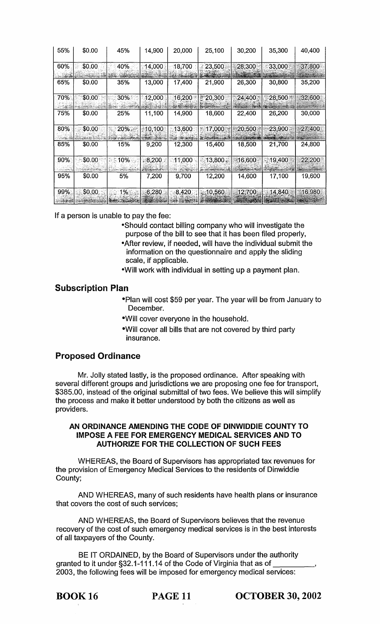| 55% | \$0.00 | 45% | 14,900  | 20,000 | 25,100            | 30,200 | 35,300 | 40,400 |
|-----|--------|-----|---------|--------|-------------------|--------|--------|--------|
| 60% | \$0.00 | 40% | 14,000  | 18,700 | 23,500            | 28,300 | 33,000 | 37,800 |
| 65% | \$0.00 | 35% | 13,000  | 17,400 | 21,900            | 26,300 | 30,800 | 35,200 |
| 70% | \$0.00 | 30% | 12,000  | 16,200 | 120,300<br>Ť      | 24,400 | 28,500 | 32,600 |
| 75% | \$0.00 | 25% | 11,100  | 14,900 | 18,600            | 22,400 | 26,200 | 30,000 |
| 80% | \$0.00 | 20% | 10,100. | 13,600 | 17,000            | 20,500 | 23,900 | 27,400 |
| 85% | \$0.00 | 15% | 9,200   | 12,300 | 15,400            | 18,500 | 21,700 | 24,800 |
| 90% | \$0.00 | 10% | . 8,200 | 11,000 | 13,800            | 16,600 | 19,400 | 22,200 |
| 95% | \$0.00 | 5%  | 7,200   | 9,700  | 12,200            | 14,600 | 17,100 | 19,600 |
| 99% | \$0.00 | 1%  | 6,280   | 8,420  | $\lesssim$ 10,560 | 12,700 | 14,840 | 16,980 |

If a person is unable to pay the fee:

- -Should contact billing company who will investigate the purpose of the bill to see that it has been filed properly,
- -After review, if needed, will have the individual submit the information on the questionnaire and apply the sliding scale, if applicable.
- -Will work with individual in setting up a payment plan.

# Subscription Plan

- ·Plan will cost \$59 per year. The year will be from January to December.
- ·WiII cover everyone in the household.
- ·WiII cover all bills that are not covered by third party insurance.

# Proposed Ordinance

Mr. Jolly stated lastly, is the proposed ordinance. After speaking with several different groups and jurisdictions we are proposing one fee for transport, \$385.00, instead of the original submittal of two fees. We believe this will simplify the process and make it better understood by both the citizens as well as providers.

### AN ORDINANCE AMENDING THE CODE OF DINWIDDIE COUNTY TO IMPOSE A FEE FOR EMERGENCY MEDICAL SERVICES AND TO AUTHORIZE FOR THE COLLECTION OF SUCH FEES

WHEREAS, the Board of Supervisors has appropriated tax revenues for the provision of Emergency Medical Services to the residents of Dinwiddie County;

AND WHEREAS, many of such residents have health plans or insurance that covers the cost of such services;

AND WHEREAS, the Board of Supervisors believes that the revenue recovery of the cost of such emergency medical services is in the best interests of all taxpayers of the County.

BE IT ORDAINED, by the Board of Supervisors under the authority granted to it under §32.1-111.14 of the Code of Virginia that as of 2003, the following fees will be imposed for emergency medical services: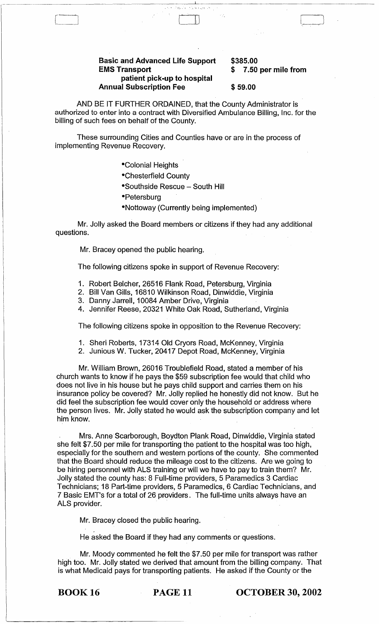#### Basic and Advanced Life Support EMS Transport patient pick-up to hospital Annual Subscription Fee

\$385.00 \$ 7.50 per mile from

#### \$ 59.00

AND BE IT FURTHER ORDAINED, that the County Administrator is authorized to enter into a contract with Diversified Ambulance Billing, Inc. for the billing of such fees on behalf of the County.

.-.-----~~~~~~---~~~~-~---~-----~-~-------~---

 $\Box$ 

These surrounding Cities and Counties have or are in the process of implementing Revenue Recovery.

·Colonial Heights

·Chesterfield County

·Southside Rescue - South Hill

- Petersburg
- ·Nottoway (Currently being implemented)

Mr. Jolly asked the Board members or citizens if they had any additional questions.

Mr. Bracey opened the public hearing.

The following citizens spoke in support of Revenue Recovery:

- 1. Robert Belcher, 26516 Flank Road, Petersburg, Virginia
- 2. Bill Van Gills, 16810 Wilkinson Road, Dinwiddie, Virginia
- 3. Danny Jarrell, 10084 Amber Drive, Virginia
- 4. Jennifer Reese, 20321 White Oak Road, Sutherland, Virginia

The following citizens spoke in opposition to the Revenue Recovery:

- 1. Sheri Roberts, 17314 Old Cryors Road, McKenney, Virginia
- 2. Junious W. Tucker, 20417 Depot Road, McKenney, Virginia

Mr. William Brown, 26016 Troublefield Road, stated a member of his church wants to know if he pays the \$59 subscription fee would that child who does not live in his house but he pays child support and carries them on his insurance policy be covered? Mr. Jolly replied he honestly did not know. But he did feel the subscription fee would cover only the household or address where the person lives. Mr. Jolly stated he would ask the subscription company and let him know.

Mrs. Anne Scarborough, Boydton Plank Road, Dinwiddie, Virginia stated she felt \$7.50 per mile for transporting the patient to the hospital was too high, especially for the southern and western portions of the county. She commented that the Board should reduce the mileage cost to the citizens. Are we going to be hiring personnel with ALS training or will we have to pay to train them? Mr. Jolly stated the county has: 8 Full-time providers, 5 Paramedics 3 Cardiac Technicians; 18 Part-time providers, 5 Paramedics, 6 Cardiac Technicians, and 7 Basic EMT's for a total of 26 providers. The full-time units always have an ALS provider.

Mr. Bracey closed the public hearing.

He asked the Board if they had any comments or questions.

Mr. Moody commented he felt the \$7.50 per mile for transport was rather high too. Mr. Jolly stated we derived that amount from the billing company. That is what Medicaid pays for transporting patients. He asked if the County or the

BOOK 16 PAGE 11 OCTOBER 30, 2002